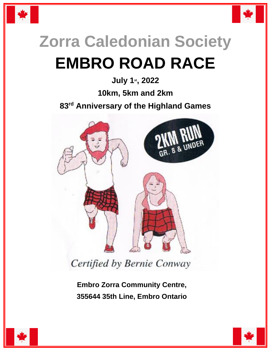



## **Zorra Caledonian Society EMBRO ROAD RACE**

## **July 1st, 2022**

**10km, 5km and 2km**

**83 rd Anniversary of the Highland Games**



Certified by Bernie Conway

 **Embro Zorra Community Centre, 355644 35th Line, Embro Ontario**